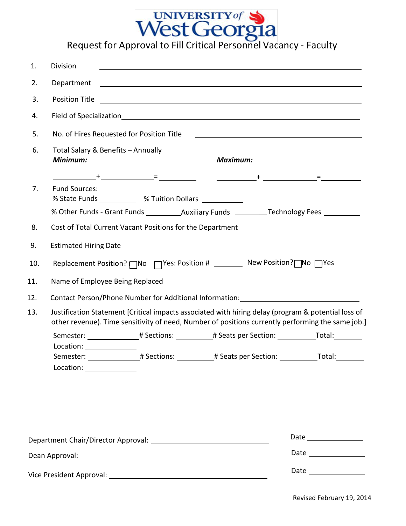

| 1.  | <b>Division</b>                                                                                                                                                                                                                                                                                                                                                                                                                                                                                                                                                      |                                                           |                                                                                                                                                                                                  |                      |
|-----|----------------------------------------------------------------------------------------------------------------------------------------------------------------------------------------------------------------------------------------------------------------------------------------------------------------------------------------------------------------------------------------------------------------------------------------------------------------------------------------------------------------------------------------------------------------------|-----------------------------------------------------------|--------------------------------------------------------------------------------------------------------------------------------------------------------------------------------------------------|----------------------|
| 2.  | Department                                                                                                                                                                                                                                                                                                                                                                                                                                                                                                                                                           |                                                           | <u> 1999 - Jan Alexander Stadt, fransk politik (d. 1989)</u>                                                                                                                                     |                      |
| 3.  | Position Title 2012 Contract to the Contract of the Contract of the Contract of the Contract of the Contract of the Contract of the Contract of the Contract of the Contract of the Contract of the Contract of the Contract o                                                                                                                                                                                                                                                                                                                                       |                                                           |                                                                                                                                                                                                  |                      |
| 4.  |                                                                                                                                                                                                                                                                                                                                                                                                                                                                                                                                                                      |                                                           |                                                                                                                                                                                                  |                      |
| 5.  | No. of Hires Requested for Position Title<br><u> 1980 - Johann Barbara, martin amerikan basal dan berasal dan berasal dan berasal dari berasal dan berasal dan</u>                                                                                                                                                                                                                                                                                                                                                                                                   |                                                           |                                                                                                                                                                                                  |                      |
| 6.  | Total Salary & Benefits - Annually<br>Minimum:                                                                                                                                                                                                                                                                                                                                                                                                                                                                                                                       |                                                           | Maximum:                                                                                                                                                                                         |                      |
| 7.  | <b>Fund Sources:</b>                                                                                                                                                                                                                                                                                                                                                                                                                                                                                                                                                 | % State Funds ____________ % Tuition Dollars ____________ | % Other Funds - Grant Funds _________________Auxiliary Funds ____________Technology Fees ___________                                                                                             |                      |
| 8.  | Cost of Total Current Vacant Positions for the Department ______________________                                                                                                                                                                                                                                                                                                                                                                                                                                                                                     |                                                           |                                                                                                                                                                                                  |                      |
| 9.  |                                                                                                                                                                                                                                                                                                                                                                                                                                                                                                                                                                      |                                                           |                                                                                                                                                                                                  |                      |
| 10. | Replacement Position?   No   Nes: Position # ________ New Position? No   Yes                                                                                                                                                                                                                                                                                                                                                                                                                                                                                         |                                                           |                                                                                                                                                                                                  |                      |
| 11. |                                                                                                                                                                                                                                                                                                                                                                                                                                                                                                                                                                      |                                                           |                                                                                                                                                                                                  |                      |
| 12. | Contact Person/Phone Number for Additional Information:_________________________                                                                                                                                                                                                                                                                                                                                                                                                                                                                                     |                                                           |                                                                                                                                                                                                  |                      |
| 13. | Justification Statement [Critical impacts associated with hiring delay (program & potential loss of<br>other revenue). Time sensitivity of need, Number of positions currently performing the same job.]                                                                                                                                                                                                                                                                                                                                                             |                                                           |                                                                                                                                                                                                  |                      |
|     | $\text{Location:}\n \underline{\hspace{2cm}}\n \underline{\hspace{2cm}}\n \underline{\hspace{2cm}}\n \underline{\hspace{2cm}}\n \underline{\hspace{2cm}}\n \underline{\hspace{2cm}}\n \underline{\hspace{2cm}}\n \underline{\hspace{2cm}}\n \underline{\hspace{2cm}}\n \underline{\hspace{2cm}}\n \underline{\hspace{2cm}}\n \underline{\hspace{2cm}}\n \underline{\hspace{2cm}}\n \underline{\hspace{2cm}}\n \underline{\hspace{2cm}}\n \underline{\hspace{2cm}}\n \underline{\hspace{2cm}}\n \underline{\hspace{2cm}}\n \underline{\hspace{2cm}}\n \underline{\hs$ |                                                           | Semester: _______________# Sections: __________# Seats per Section: ___________Total: ________<br>Semester: _______________# Sections: __________# Seats per Section: ___________Total: ________ |                      |
|     | $Location: ____________$                                                                                                                                                                                                                                                                                                                                                                                                                                                                                                                                             |                                                           |                                                                                                                                                                                                  |                      |
|     |                                                                                                                                                                                                                                                                                                                                                                                                                                                                                                                                                                      |                                                           |                                                                                                                                                                                                  |                      |
|     |                                                                                                                                                                                                                                                                                                                                                                                                                                                                                                                                                                      |                                                           |                                                                                                                                                                                                  |                      |
|     |                                                                                                                                                                                                                                                                                                                                                                                                                                                                                                                                                                      |                                                           |                                                                                                                                                                                                  | Date ______________  |
|     |                                                                                                                                                                                                                                                                                                                                                                                                                                                                                                                                                                      |                                                           |                                                                                                                                                                                                  | Date _______________ |